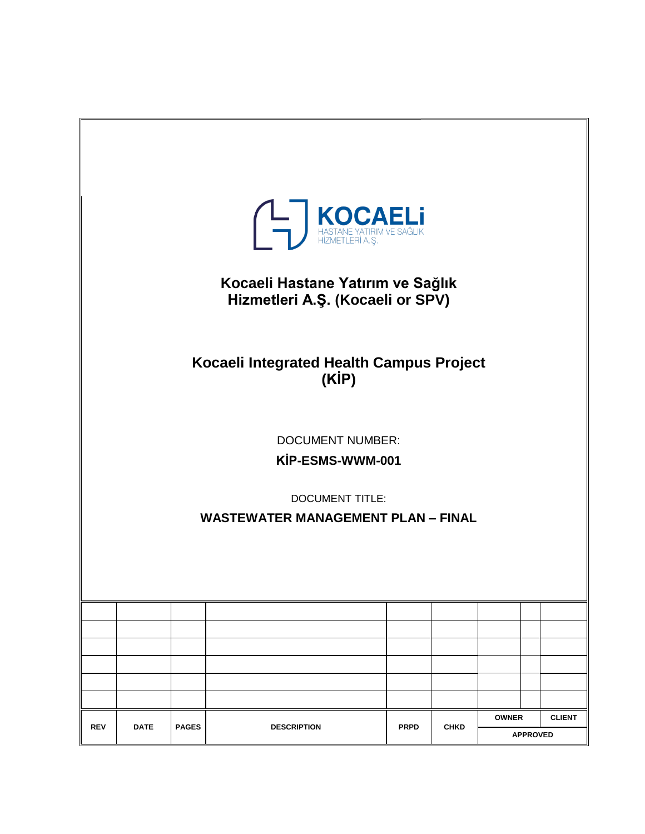<span id="page-0-0"></span>

| A <b>MOCAELI</b><br>HASTANE YATIRIM VE SAĞLIK<br>HİZMETLERİ A. Ş.<br>Kocaeli Hastane Yatırım ve Sağlık<br>Hizmetleri A.Ş. (Kocaeli or SPV)<br>Kocaeli Integrated Health Campus Project |             |              |                                           |             |             |              |                 |               |
|----------------------------------------------------------------------------------------------------------------------------------------------------------------------------------------|-------------|--------------|-------------------------------------------|-------------|-------------|--------------|-----------------|---------------|
|                                                                                                                                                                                        |             |              | (KIP)                                     |             |             |              |                 |               |
|                                                                                                                                                                                        |             |              |                                           |             |             |              |                 |               |
|                                                                                                                                                                                        |             |              | <b>DOCUMENT NUMBER:</b>                   |             |             |              |                 |               |
|                                                                                                                                                                                        |             |              | KİP-ESMS-WWM-001                          |             |             |              |                 |               |
|                                                                                                                                                                                        |             |              | <b>DOCUMENT TITLE:</b>                    |             |             |              |                 |               |
|                                                                                                                                                                                        |             |              | <b>WASTEWATER MANAGEMENT PLAN - FINAL</b> |             |             |              |                 |               |
|                                                                                                                                                                                        |             |              |                                           |             |             |              |                 |               |
|                                                                                                                                                                                        |             |              |                                           |             |             |              |                 |               |
|                                                                                                                                                                                        |             |              |                                           |             |             |              |                 |               |
|                                                                                                                                                                                        |             |              |                                           |             |             |              |                 |               |
|                                                                                                                                                                                        |             |              |                                           |             |             |              |                 |               |
|                                                                                                                                                                                        |             |              |                                           |             |             |              |                 |               |
|                                                                                                                                                                                        |             |              |                                           |             |             | <b>OWNER</b> |                 | <b>CLIENT</b> |
| <b>REV</b>                                                                                                                                                                             | <b>DATE</b> | <b>PAGES</b> | <b>DESCRIPTION</b>                        | <b>PRPD</b> | <b>CHKD</b> |              | <b>APPROVED</b> |               |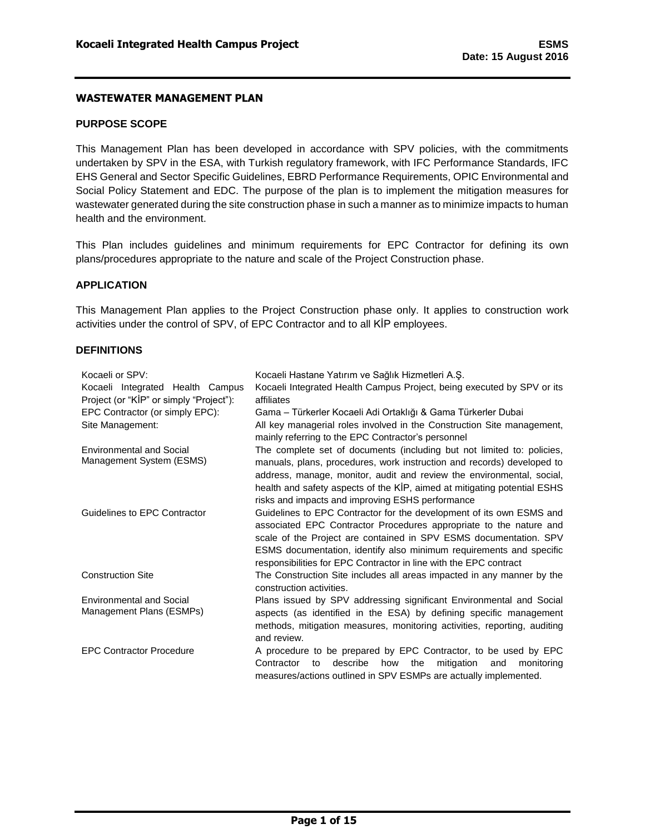### **PURPOSE SCOPE**

This Management Plan has been developed in accordance with SPV policies, with the commitments undertaken by SPV in the ESA, with Turkish regulatory framework, with IFC Performance Standards, IFC EHS General and Sector Specific Guidelines, EBRD Performance Requirements, OPIC Environmental and Social Policy Statement and EDC. The purpose of the plan is to implement the mitigation measures for wastewater generated during the site construction phase in such a manner as to minimize impacts to human health and the environment.

This Plan includes guidelines and minimum requirements for EPC Contractor for defining its own plans/procedures appropriate to the nature and scale of the Project Construction phase.

### <span id="page-1-0"></span>**APPLICATION**

This Management Plan applies to the Project Construction phase only. It applies to construction work activities under the control of SPV, of EPC Contractor and to all KİP employees.

#### <span id="page-1-1"></span>**DEFINITIONS**

| Kocaeli or SPV:                         | Kocaeli Hastane Yatırım ve Sağlık Hizmetleri A.Ş.                                                                                                                                                                                                                                                                                                           |  |  |  |
|-----------------------------------------|-------------------------------------------------------------------------------------------------------------------------------------------------------------------------------------------------------------------------------------------------------------------------------------------------------------------------------------------------------------|--|--|--|
| Kocaeli Integrated Health Campus        | Kocaeli Integrated Health Campus Project, being executed by SPV or its                                                                                                                                                                                                                                                                                      |  |  |  |
| Project (or "KIP" or simply "Project"): | affiliates                                                                                                                                                                                                                                                                                                                                                  |  |  |  |
| EPC Contractor (or simply EPC):         | Gama – Türkerler Kocaeli Adi Ortaklığı & Gama Türkerler Dubai                                                                                                                                                                                                                                                                                               |  |  |  |
| Site Management:                        | All key managerial roles involved in the Construction Site management,<br>mainly referring to the EPC Contractor's personnel                                                                                                                                                                                                                                |  |  |  |
| <b>Environmental and Social</b>         | The complete set of documents (including but not limited to: policies,                                                                                                                                                                                                                                                                                      |  |  |  |
| Management System (ESMS)                | manuals, plans, procedures, work instruction and records) developed to<br>address, manage, monitor, audit and review the environmental, social,<br>health and safety aspects of the KİP, aimed at mitigating potential ESHS<br>risks and impacts and improving ESHS performance                                                                             |  |  |  |
| Guidelines to EPC Contractor            | Guidelines to EPC Contractor for the development of its own ESMS and<br>associated EPC Contractor Procedures appropriate to the nature and<br>scale of the Project are contained in SPV ESMS documentation. SPV<br>ESMS documentation, identify also minimum requirements and specific<br>responsibilities for EPC Contractor in line with the EPC contract |  |  |  |
| <b>Construction Site</b>                | The Construction Site includes all areas impacted in any manner by the<br>construction activities.                                                                                                                                                                                                                                                          |  |  |  |
| <b>Environmental and Social</b>         | Plans issued by SPV addressing significant Environmental and Social                                                                                                                                                                                                                                                                                         |  |  |  |
| Management Plans (ESMPs)                | aspects (as identified in the ESA) by defining specific management<br>methods, mitigation measures, monitoring activities, reporting, auditing<br>and review.                                                                                                                                                                                               |  |  |  |
| <b>EPC Contractor Procedure</b>         | A procedure to be prepared by EPC Contractor, to be used by EPC                                                                                                                                                                                                                                                                                             |  |  |  |
|                                         | describe how<br>mitigation<br>Contractor<br>the<br>and<br>to<br>monitoring<br>measures/actions outlined in SPV ESMPs are actually implemented.                                                                                                                                                                                                              |  |  |  |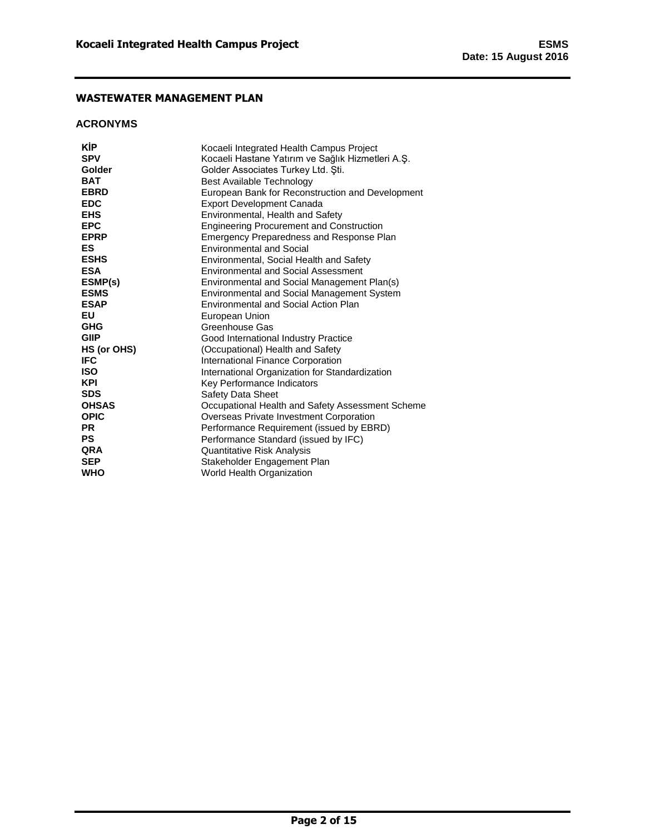### <span id="page-2-0"></span>**ACRONYMS**

| KİP<br><b>SPV</b> | Kocaeli Integrated Health Campus Project<br>Kocaeli Hastane Yatırım ve Sağlık Hizmetleri A.S. |
|-------------------|-----------------------------------------------------------------------------------------------|
| Golder            | Golder Associates Turkey Ltd. Şti.                                                            |
| <b>BAT</b>        | Best Available Technology                                                                     |
| <b>EBRD</b>       | European Bank for Reconstruction and Development                                              |
| <b>EDC</b>        | <b>Export Development Canada</b>                                                              |
| <b>EHS</b>        | Environmental, Health and Safety                                                              |
| <b>EPC</b>        | <b>Engineering Procurement and Construction</b>                                               |
| <b>EPRP</b>       | Emergency Preparedness and Response Plan                                                      |
| ES                | <b>Environmental and Social</b>                                                               |
| <b>ESHS</b>       | Environmental, Social Health and Safety                                                       |
| <b>ESA</b>        | <b>Environmental and Social Assessment</b>                                                    |
| ESMP(s)           | Environmental and Social Management Plan(s)                                                   |
| <b>ESMS</b>       | Environmental and Social Management System                                                    |
| <b>ESAP</b>       | Environmental and Social Action Plan                                                          |
| EU                | European Union                                                                                |
| <b>GHG</b>        | Greenhouse Gas                                                                                |
| <b>GIIP</b>       | Good International Industry Practice                                                          |
| HS (or OHS)       | (Occupational) Health and Safety                                                              |
| <b>IFC</b>        | International Finance Corporation                                                             |
| <b>ISO</b>        | International Organization for Standardization                                                |
| <b>KPI</b>        | Key Performance Indicators                                                                    |
| <b>SDS</b>        | <b>Safety Data Sheet</b>                                                                      |
| <b>OHSAS</b>      | Occupational Health and Safety Assessment Scheme                                              |
| <b>OPIC</b>       | Overseas Private Investment Corporation                                                       |
| <b>PR</b>         | Performance Requirement (issued by EBRD)                                                      |
| <b>PS</b>         | Performance Standard (issued by IFC)                                                          |
| <b>QRA</b>        | Quantitative Risk Analysis                                                                    |
| <b>SEP</b>        | Stakeholder Engagement Plan                                                                   |
| <b>WHO</b>        | World Health Organization                                                                     |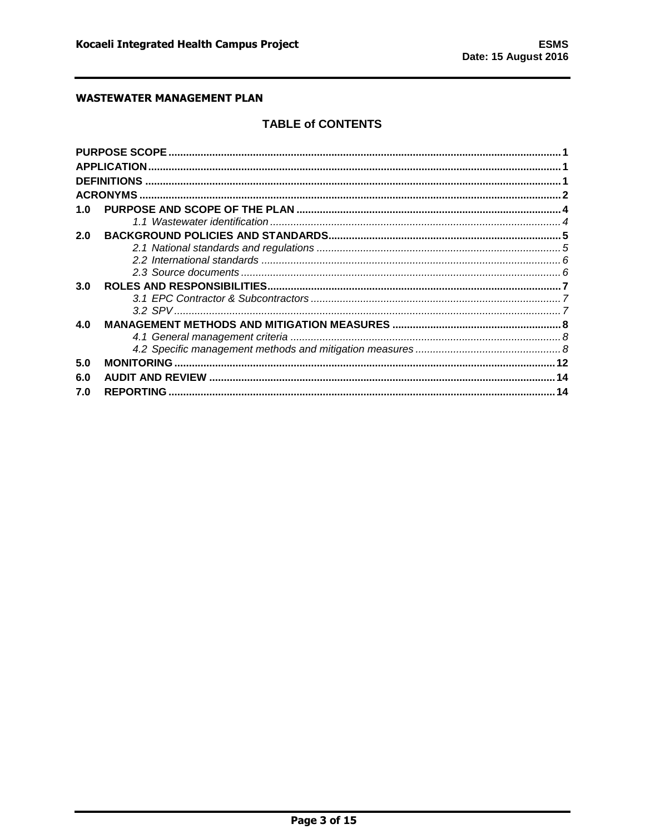# **TABLE of CONTENTS**

|     | <b>APPLICATION</b> |  |
|-----|--------------------|--|
|     |                    |  |
|     |                    |  |
| 1.0 |                    |  |
|     |                    |  |
| 2.0 |                    |  |
|     |                    |  |
|     |                    |  |
|     |                    |  |
| 3.0 |                    |  |
|     |                    |  |
|     |                    |  |
| 4.0 |                    |  |
|     |                    |  |
|     |                    |  |
| 5.0 |                    |  |
| 6.0 |                    |  |
| 7.0 |                    |  |
|     |                    |  |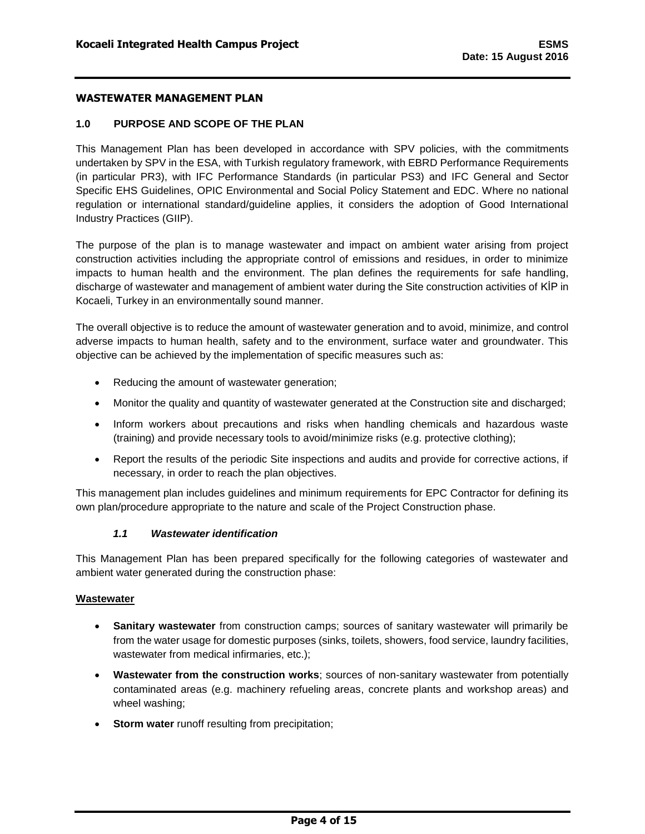## <span id="page-4-0"></span>**1.0 PURPOSE AND SCOPE OF THE PLAN**

This Management Plan has been developed in accordance with SPV policies, with the commitments undertaken by SPV in the ESA, with Turkish regulatory framework, with EBRD Performance Requirements (in particular PR3), with IFC Performance Standards (in particular PS3) and IFC General and Sector Specific EHS Guidelines, OPIC Environmental and Social Policy Statement and EDC. Where no national regulation or international standard/guideline applies, it considers the adoption of Good International Industry Practices (GIIP).

The purpose of the plan is to manage wastewater and impact on ambient water arising from project construction activities including the appropriate control of emissions and residues, in order to minimize impacts to human health and the environment. The plan defines the requirements for safe handling, discharge of wastewater and management of ambient water during the Site construction activities of KİP in Kocaeli, Turkey in an environmentally sound manner.

The overall objective is to reduce the amount of wastewater generation and to avoid, minimize, and control adverse impacts to human health, safety and to the environment, surface water and groundwater. This objective can be achieved by the implementation of specific measures such as:

- Reducing the amount of wastewater generation;
- Monitor the quality and quantity of wastewater generated at the Construction site and discharged;
- Inform workers about precautions and risks when handling chemicals and hazardous waste (training) and provide necessary tools to avoid/minimize risks (e.g. protective clothing);
- Report the results of the periodic Site inspections and audits and provide for corrective actions, if necessary, in order to reach the plan objectives.

This management plan includes guidelines and minimum requirements for EPC Contractor for defining its own plan/procedure appropriate to the nature and scale of the Project Construction phase.

#### *1.1 Wastewater identification*

<span id="page-4-1"></span>This Management Plan has been prepared specifically for the following categories of wastewater and ambient water generated during the construction phase:

#### **Wastewater**

- **Sanitary wastewater** from construction camps; sources of sanitary wastewater will primarily be from the water usage for domestic purposes (sinks, toilets, showers, food service, laundry facilities, wastewater from medical infirmaries, etc.);
- **Wastewater from the construction works**; sources of non-sanitary wastewater from potentially contaminated areas (e.g. machinery refueling areas, concrete plants and workshop areas) and wheel washing;
- **Storm water** runoff resulting from precipitation;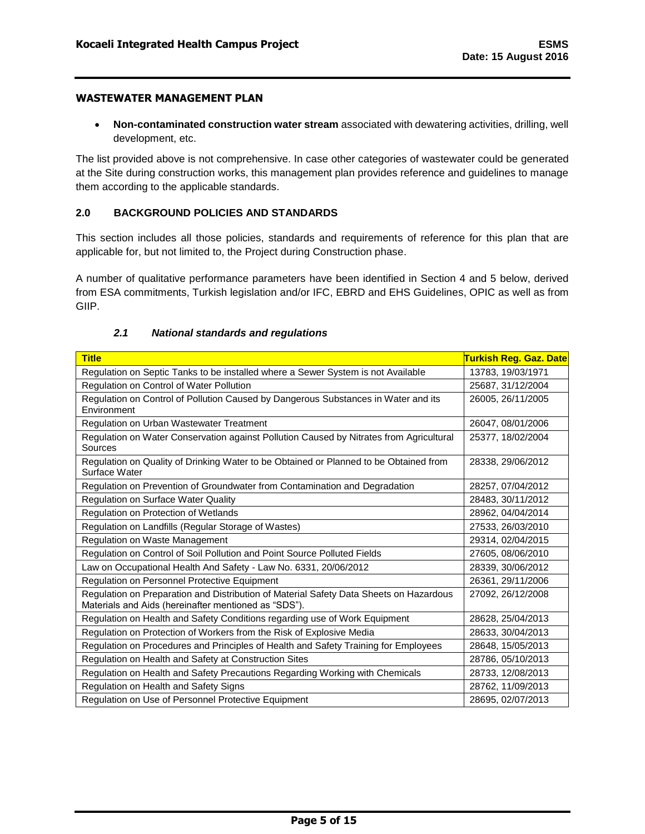**Non-contaminated construction water stream** associated with dewatering activities, drilling, well development, etc.

The list provided above is not comprehensive. In case other categories of wastewater could be generated at the Site during construction works, this management plan provides reference and guidelines to manage them according to the applicable standards.

#### <span id="page-5-0"></span>**2.0 BACKGROUND POLICIES AND STANDARDS**

This section includes all those policies, standards and requirements of reference for this plan that are applicable for, but not limited to, the Project during Construction phase.

A number of qualitative performance parameters have been identified in Section 4 and 5 below, derived from ESA commitments, Turkish legislation and/or IFC, EBRD and EHS Guidelines, OPIC as well as from GIIP.

<span id="page-5-1"></span>

| <b>Title</b>                                                                                                                                   | Turkish Reg. Gaz. Date |
|------------------------------------------------------------------------------------------------------------------------------------------------|------------------------|
| Regulation on Septic Tanks to be installed where a Sewer System is not Available                                                               | 13783, 19/03/1971      |
| Regulation on Control of Water Pollution                                                                                                       | 25687, 31/12/2004      |
| Regulation on Control of Pollution Caused by Dangerous Substances in Water and its<br>Environment                                              | 26005, 26/11/2005      |
| Regulation on Urban Wastewater Treatment                                                                                                       | 26047, 08/01/2006      |
| Regulation on Water Conservation against Pollution Caused by Nitrates from Agricultural<br>Sources                                             | 25377, 18/02/2004      |
| Regulation on Quality of Drinking Water to be Obtained or Planned to be Obtained from<br>Surface Water                                         | 28338, 29/06/2012      |
| Regulation on Prevention of Groundwater from Contamination and Degradation                                                                     | 28257, 07/04/2012      |
| Regulation on Surface Water Quality                                                                                                            | 28483, 30/11/2012      |
| Regulation on Protection of Wetlands                                                                                                           | 28962, 04/04/2014      |
| Regulation on Landfills (Regular Storage of Wastes)                                                                                            | 27533, 26/03/2010      |
| Regulation on Waste Management                                                                                                                 | 29314, 02/04/2015      |
| Regulation on Control of Soil Pollution and Point Source Polluted Fields                                                                       | 27605, 08/06/2010      |
| Law on Occupational Health And Safety - Law No. 6331, 20/06/2012                                                                               | 28339, 30/06/2012      |
| Regulation on Personnel Protective Equipment                                                                                                   | 26361, 29/11/2006      |
| Regulation on Preparation and Distribution of Material Safety Data Sheets on Hazardous<br>Materials and Aids (hereinafter mentioned as "SDS"). | 27092, 26/12/2008      |
| Regulation on Health and Safety Conditions regarding use of Work Equipment                                                                     | 28628, 25/04/2013      |
| Regulation on Protection of Workers from the Risk of Explosive Media                                                                           | 28633, 30/04/2013      |
| Regulation on Procedures and Principles of Health and Safety Training for Employees                                                            | 28648, 15/05/2013      |
| Regulation on Health and Safety at Construction Sites                                                                                          | 28786, 05/10/2013      |
| Regulation on Health and Safety Precautions Regarding Working with Chemicals                                                                   | 28733, 12/08/2013      |
| Regulation on Health and Safety Signs                                                                                                          | 28762, 11/09/2013      |
| Regulation on Use of Personnel Protective Equipment                                                                                            | 28695, 02/07/2013      |

#### *2.1 National standards and regulations*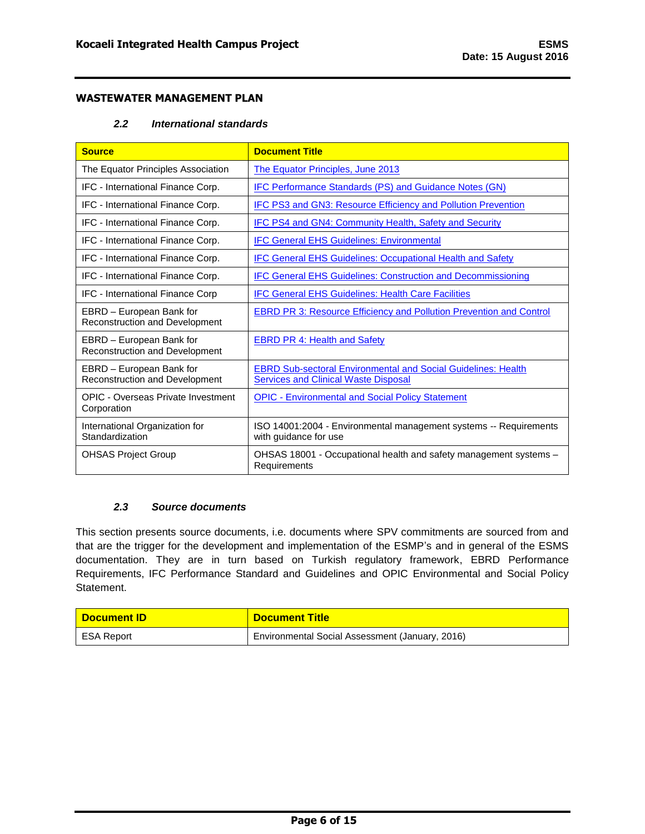# *2.2 International standards*

<span id="page-6-0"></span>

| <b>Source</b>                                              | <b>Document Title</b>                                                                                               |
|------------------------------------------------------------|---------------------------------------------------------------------------------------------------------------------|
| The Equator Principles Association                         | The Equator Principles, June 2013                                                                                   |
| IFC - International Finance Corp.                          | IFC Performance Standards (PS) and Guidance Notes (GN)                                                              |
| IFC - International Finance Corp.                          | <b>IFC PS3 and GN3: Resource Efficiency and Pollution Prevention</b>                                                |
| IFC - International Finance Corp.                          | IFC PS4 and GN4: Community Health, Safety and Security                                                              |
| IFC - International Finance Corp.                          | <b>IFC General EHS Guidelines: Environmental</b>                                                                    |
| IFC - International Finance Corp.                          | <b>IFC General EHS Guidelines: Occupational Health and Safety</b>                                                   |
| IFC - International Finance Corp.                          | <b>IFC General EHS Guidelines: Construction and Decommissioning</b>                                                 |
| IFC - International Finance Corp                           | <b>IFC General EHS Guidelines: Health Care Facilities</b>                                                           |
| EBRD - European Bank for<br>Reconstruction and Development | <b>EBRD PR 3: Resource Efficiency and Pollution Prevention and Control</b>                                          |
| EBRD - European Bank for<br>Reconstruction and Development | <b>EBRD PR 4: Health and Safety</b>                                                                                 |
| EBRD - European Bank for<br>Reconstruction and Development | <b>EBRD Sub-sectoral Environmental and Social Guidelines: Health</b><br><b>Services and Clinical Waste Disposal</b> |
| OPIC - Overseas Private Investment<br>Corporation          | <b>OPIC - Environmental and Social Policy Statement</b>                                                             |
| International Organization for<br>Standardization          | ISO 14001:2004 - Environmental management systems -- Requirements<br>with guidance for use                          |
| <b>OHSAS Project Group</b>                                 | OHSAS 18001 - Occupational health and safety management systems –<br>Requirements                                   |

# *2.3 Source documents*

<span id="page-6-1"></span>This section presents source documents, i.e. documents where SPV commitments are sourced from and that are the trigger for the development and implementation of the ESMP's and in general of the ESMS documentation. They are in turn based on Turkish regulatory framework, EBRD Performance Requirements, IFC Performance Standard and Guidelines and OPIC Environmental and Social Policy Statement.

| <b>Document ID</b> | <b>Document Title</b>                           |
|--------------------|-------------------------------------------------|
| ESA Report         | Environmental Social Assessment (January, 2016) |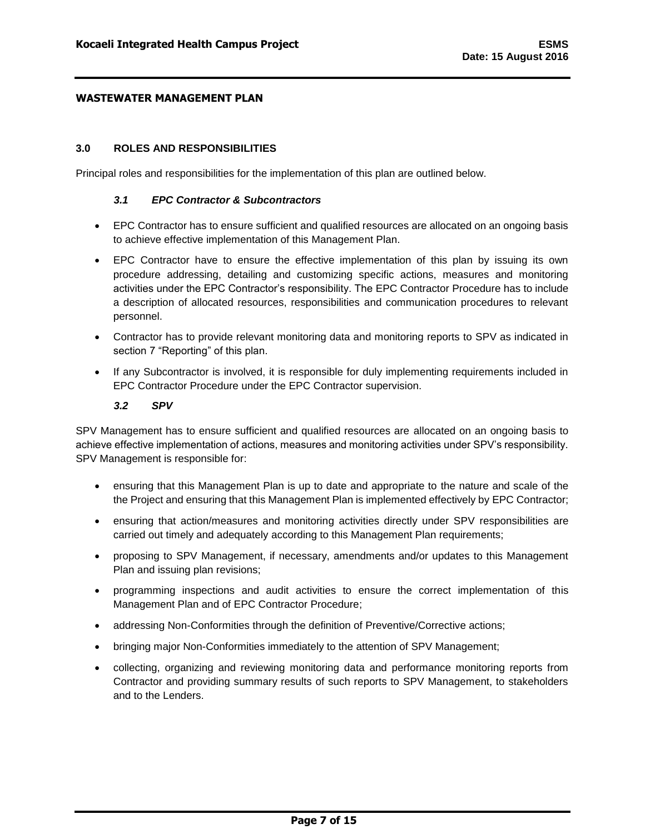### <span id="page-7-0"></span>**3.0 ROLES AND RESPONSIBILITIES**

<span id="page-7-1"></span>Principal roles and responsibilities for the implementation of this plan are outlined below.

### *3.1 EPC Contractor & Subcontractors*

- EPC Contractor has to ensure sufficient and qualified resources are allocated on an ongoing basis to achieve effective implementation of this Management Plan.
- EPC Contractor have to ensure the effective implementation of this plan by issuing its own procedure addressing, detailing and customizing specific actions, measures and monitoring activities under the EPC Contractor's responsibility. The EPC Contractor Procedure has to include a description of allocated resources, responsibilities and communication procedures to relevant personnel.
- Contractor has to provide relevant monitoring data and monitoring reports to SPV as indicated in section 7 "Reporting" of this plan.
- If any Subcontractor is involved, it is responsible for duly implementing requirements included in EPC Contractor Procedure under the EPC Contractor supervision.

# *3.2 SPV*

<span id="page-7-2"></span>SPV Management has to ensure sufficient and qualified resources are allocated on an ongoing basis to achieve effective implementation of actions, measures and monitoring activities under SPV's responsibility. SPV Management is responsible for:

- ensuring that this Management Plan is up to date and appropriate to the nature and scale of the the Project and ensuring that this Management Plan is implemented effectively by EPC Contractor;
- ensuring that action/measures and monitoring activities directly under SPV responsibilities are carried out timely and adequately according to this Management Plan requirements;
- proposing to SPV Management, if necessary, amendments and/or updates to this Management Plan and issuing plan revisions;
- programming inspections and audit activities to ensure the correct implementation of this Management Plan and of EPC Contractor Procedure;
- addressing Non-Conformities through the definition of Preventive/Corrective actions;
- bringing major Non-Conformities immediately to the attention of SPV Management;
- collecting, organizing and reviewing monitoring data and performance monitoring reports from Contractor and providing summary results of such reports to SPV Management, to stakeholders and to the Lenders.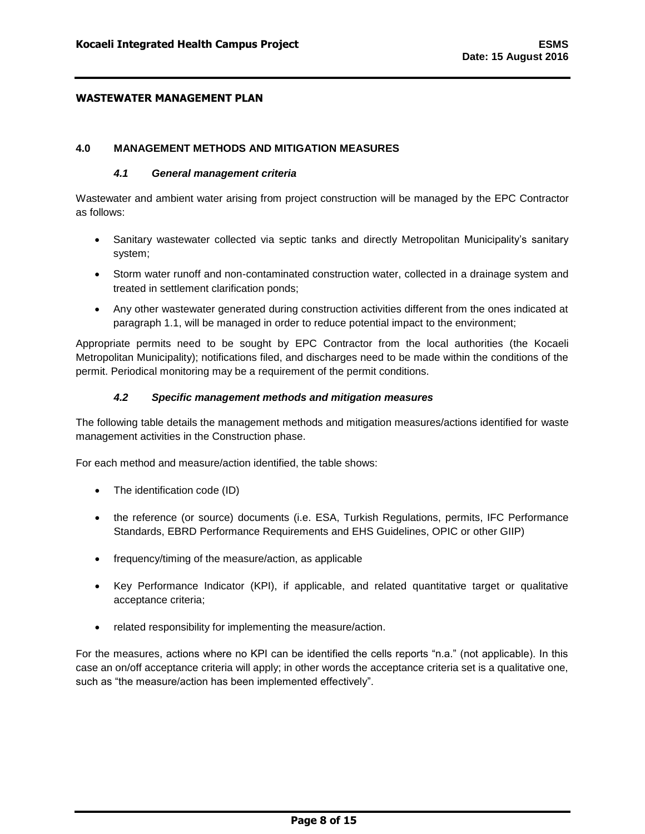#### <span id="page-8-1"></span><span id="page-8-0"></span>**4.0 MANAGEMENT METHODS AND MITIGATION MEASURES**

#### *4.1 General management criteria*

Wastewater and ambient water arising from project construction will be managed by the EPC Contractor as follows:

- Sanitary wastewater collected via septic tanks and directly Metropolitan Municipality's sanitary system;
- Storm water runoff and non-contaminated construction water, collected in a drainage system and treated in settlement clarification ponds;
- Any other wastewater generated during construction activities different from the ones indicated at paragraph 1.1, will be managed in order to reduce potential impact to the environment;

Appropriate permits need to be sought by EPC Contractor from the local authorities (the Kocaeli Metropolitan Municipality); notifications filed, and discharges need to be made within the conditions of the permit. Periodical monitoring may be a requirement of the permit conditions.

#### *4.2 Specific management methods and mitigation measures*

<span id="page-8-2"></span>The following table details the management methods and mitigation measures/actions identified for waste management activities in the Construction phase.

For each method and measure/action identified, the table shows:

- The identification code (ID)
- the reference (or source) documents (i.e. ESA, Turkish Regulations, permits, IFC Performance Standards, EBRD Performance Requirements and EHS Guidelines, OPIC or other GIIP)
- frequency/timing of the measure/action, as applicable
- Key Performance Indicator (KPI), if applicable, and related quantitative target or qualitative acceptance criteria;
- related responsibility for implementing the measure/action.

For the measures, actions where no KPI can be identified the cells reports "n.a." (not applicable). In this case an on/off acceptance criteria will apply; in other words the acceptance criteria set is a qualitative one, such as "the measure/action has been implemented effectively".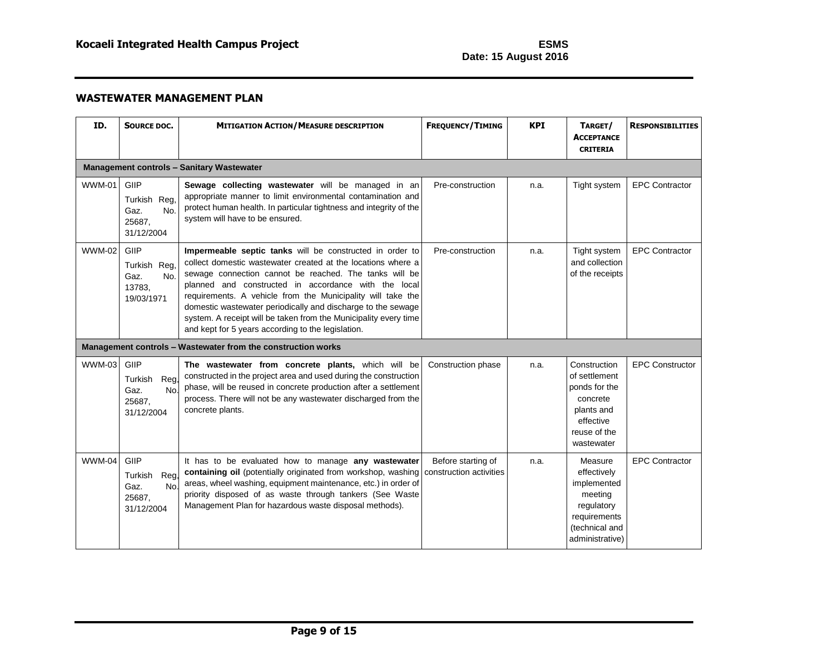| ID.           | <b>SOURCE DOC.</b>                                             | <b>MITIGATION ACTION/MEASURE DESCRIPTION</b>                                                                                                                                                                                                                                                                                                                                                                                                                                                        | <b>FREQUENCY/TIMING</b>                       | <b>KPI</b> | TARGET/<br><b>ACCEPTANCE</b><br><b>CRITERIA</b>                                                                     | <b>RESPONSIBILITIES</b> |  |  |  |
|---------------|----------------------------------------------------------------|-----------------------------------------------------------------------------------------------------------------------------------------------------------------------------------------------------------------------------------------------------------------------------------------------------------------------------------------------------------------------------------------------------------------------------------------------------------------------------------------------------|-----------------------------------------------|------------|---------------------------------------------------------------------------------------------------------------------|-------------------------|--|--|--|
|               | <b>Management controls - Sanitary Wastewater</b>               |                                                                                                                                                                                                                                                                                                                                                                                                                                                                                                     |                                               |            |                                                                                                                     |                         |  |  |  |
| <b>WWM-01</b> | GIIP<br>Turkish Reg,<br>No.<br>Gaz.<br>25687,<br>31/12/2004    | Sewage collecting wastewater will be managed in an<br>appropriate manner to limit environmental contamination and<br>protect human health. In particular tightness and integrity of the<br>system will have to be ensured.                                                                                                                                                                                                                                                                          | Pre-construction                              | n.a.       | Tight system                                                                                                        | <b>EPC Contractor</b>   |  |  |  |
| <b>WWM-02</b> | GIIP<br>Turkish Reg.<br>Gaz.<br>No.<br>13783.<br>19/03/1971    | Impermeable septic tanks will be constructed in order to<br>collect domestic wastewater created at the locations where a<br>sewage connection cannot be reached. The tanks will be<br>planned and constructed in accordance with the local<br>requirements. A vehicle from the Municipality will take the<br>domestic wastewater periodically and discharge to the sewage<br>system. A receipt will be taken from the Municipality every time<br>and kept for 5 years according to the legislation. | Pre-construction                              | n.a.       | Tight system<br>and collection<br>of the receipts                                                                   | <b>EPC Contractor</b>   |  |  |  |
|               |                                                                | Management controls - Wastewater from the construction works                                                                                                                                                                                                                                                                                                                                                                                                                                        |                                               |            |                                                                                                                     |                         |  |  |  |
| <b>WWM-03</b> | GIIP<br>Turkish<br>Reg,<br>No.<br>Gaz.<br>25687.<br>31/12/2004 | The wastewater from concrete plants, which will be<br>constructed in the project area and used during the construction<br>phase, will be reused in concrete production after a settlement<br>process. There will not be any wastewater discharged from the<br>concrete plants.                                                                                                                                                                                                                      | Construction phase                            | n.a.       | Construction<br>of settlement<br>ponds for the<br>concrete<br>plants and<br>effective<br>reuse of the<br>wastewater | <b>EPC Constructor</b>  |  |  |  |
| <b>WWM-04</b> | GIIP<br>Turkish<br>Reg,<br>No.<br>Gaz.<br>25687,<br>31/12/2004 | It has to be evaluated how to manage any wastewater<br>containing oil (potentially originated from workshop, washing<br>areas, wheel washing, equipment maintenance, etc.) in order of<br>priority disposed of as waste through tankers (See Waste<br>Management Plan for hazardous waste disposal methods).                                                                                                                                                                                        | Before starting of<br>construction activities | n.a.       | Measure<br>effectively<br>implemented<br>meeting<br>regulatory<br>requirements<br>(technical and<br>administrative) | <b>EPC Contractor</b>   |  |  |  |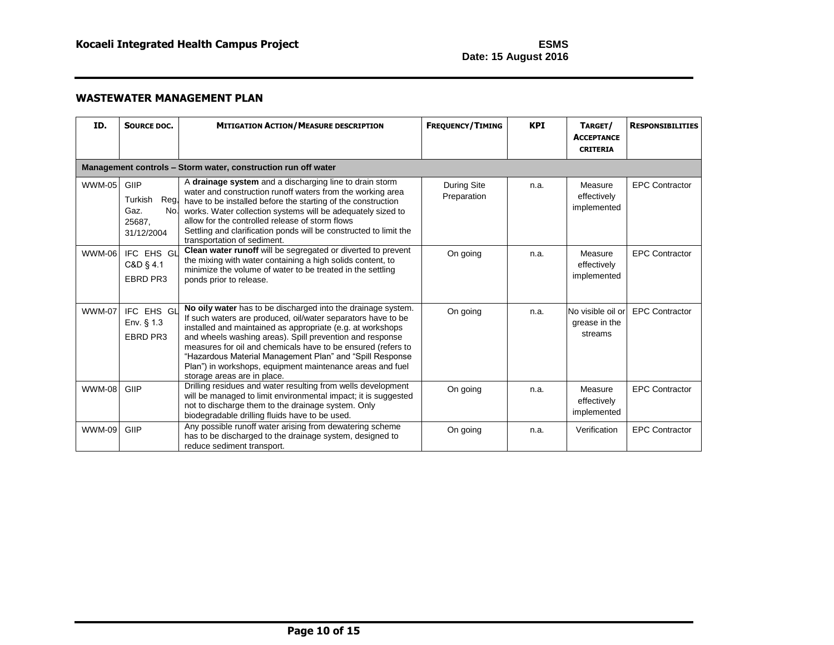| ID.           | SOURCE DOC.                                                   | <b>MITIGATION ACTION/MEASURE DESCRIPTION</b>                                                                                                                                                                                                                                                                                                                                                                                                                                   | <b>FREQUENCY/TIMING</b>           | <b>KPI</b> | TARGET/<br><b>ACCEPTANCE</b><br><b>CRITERIA</b> | <b>RESPONSIBILITIES</b> |  |  |  |
|---------------|---------------------------------------------------------------|--------------------------------------------------------------------------------------------------------------------------------------------------------------------------------------------------------------------------------------------------------------------------------------------------------------------------------------------------------------------------------------------------------------------------------------------------------------------------------|-----------------------------------|------------|-------------------------------------------------|-------------------------|--|--|--|
|               | Management controls - Storm water, construction run off water |                                                                                                                                                                                                                                                                                                                                                                                                                                                                                |                                   |            |                                                 |                         |  |  |  |
| <b>WWM-05</b> | GIIP<br>Turkish<br>Gaz.<br>25687,<br>31/12/2004               | A drainage system and a discharging line to drain storm<br>water and construction runoff waters from the working area<br>Reg, have to be installed before the starting of the construction<br>No. works. Water collection systems will be adequately sized to<br>allow for the controlled release of storm flows<br>Settling and clarification ponds will be constructed to limit the<br>transportation of sediment.                                                           | <b>During Site</b><br>Preparation | n.a.       | Measure<br>effectively<br>implemented           | <b>EPC Contractor</b>   |  |  |  |
| <b>WWM-06</b> | IFC EHS GL<br>C&D § 4.1<br>EBRD PR3                           | Clean water runoff will be segregated or diverted to prevent<br>the mixing with water containing a high solids content, to<br>minimize the volume of water to be treated in the settling<br>ponds prior to release.                                                                                                                                                                                                                                                            | On going                          | n.a.       | Measure<br>effectively<br>implemented           | <b>EPC Contractor</b>   |  |  |  |
| <b>WWM-07</b> | IFC EHS GL<br>Env. § 1.3<br>EBRD PR3                          | No oily water has to be discharged into the drainage system.<br>If such waters are produced, oil/water separators have to be<br>installed and maintained as appropriate (e.g. at workshops<br>and wheels washing areas). Spill prevention and response<br>measures for oil and chemicals have to be ensured (refers to<br>"Hazardous Material Management Plan" and "Spill Response<br>Plan") in workshops, equipment maintenance areas and fuel<br>storage areas are in place. | On going                          | n.a.       | No visible oil or<br>grease in the<br>streams   | <b>EPC Contractor</b>   |  |  |  |
| <b>WWM-08</b> | GIIP                                                          | Drilling residues and water resulting from wells development<br>will be managed to limit environmental impact; it is suggested<br>not to discharge them to the drainage system. Only<br>biodegradable drilling fluids have to be used.                                                                                                                                                                                                                                         | On going                          | n.a.       | Measure<br>effectively<br>implemented           | <b>EPC Contractor</b>   |  |  |  |
| <b>WWM-09</b> | GIIP                                                          | Any possible runoff water arising from dewatering scheme<br>has to be discharged to the drainage system, designed to<br>reduce sediment transport.                                                                                                                                                                                                                                                                                                                             | On going                          | n.a.       | Verification                                    | <b>EPC Contractor</b>   |  |  |  |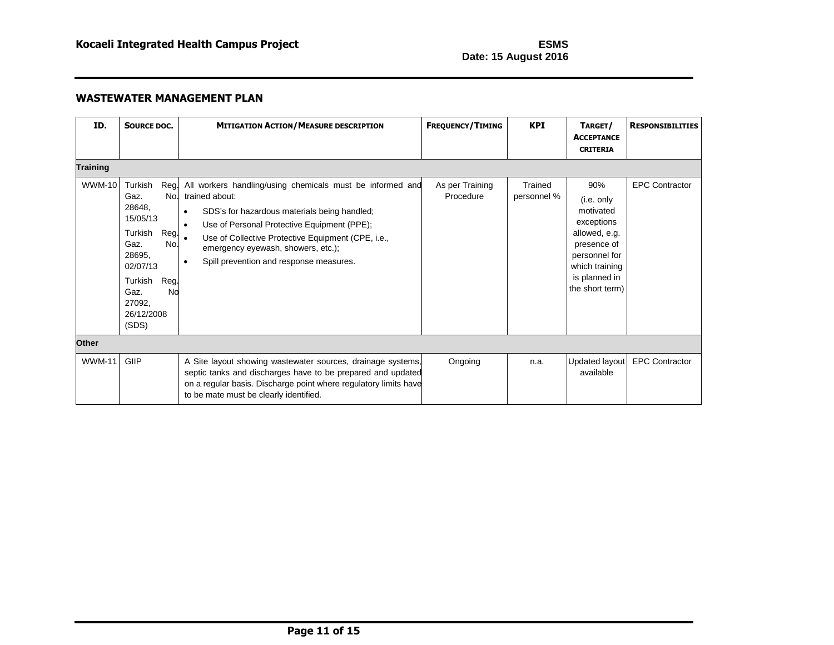| ID.             | SOURCE DOC.                                                                                                                                                                    | <b>MITIGATION ACTION/MEASURE DESCRIPTION</b>                                                                                                                                                                                                                                                                                                             | <b>FREQUENCY/TIMING</b>      | <b>KPI</b>             | TARGET/<br><b>ACCEPTANCE</b><br><b>CRITERIA</b>                                                                                                     | <b>RESPONSIBILITIES</b> |
|-----------------|--------------------------------------------------------------------------------------------------------------------------------------------------------------------------------|----------------------------------------------------------------------------------------------------------------------------------------------------------------------------------------------------------------------------------------------------------------------------------------------------------------------------------------------------------|------------------------------|------------------------|-----------------------------------------------------------------------------------------------------------------------------------------------------|-------------------------|
| <b>Training</b> |                                                                                                                                                                                |                                                                                                                                                                                                                                                                                                                                                          |                              |                        |                                                                                                                                                     |                         |
| <b>WWM-10</b>   | Turkish<br>Reg.<br>No.<br>Gaz.<br>28648,<br>15/05/13<br>Turkish<br>Reg.<br>No.<br>Gaz.<br>28695,<br>02/07/13<br>Reg.<br>Turkish<br>Gaz.<br>No<br>27092,<br>26/12/2008<br>(SDS) | All workers handling/using chemicals must be informed and<br>trained about:<br>SDS's for hazardous materials being handled;<br>$\bullet$<br>Use of Personal Protective Equipment (PPE);<br>$\bullet$<br>Use of Collective Protective Equipment (CPE, i.e.,<br>emergency eyewash, showers, etc.);<br>Spill prevention and response measures.<br>$\bullet$ | As per Training<br>Procedure | Trained<br>personnel % | 90%<br>(i.e. only<br>motivated<br>exceptions<br>allowed, e.g.<br>presence of<br>personnel for<br>which training<br>is planned in<br>the short term) | <b>EPC Contractor</b>   |
| <b>Other</b>    |                                                                                                                                                                                |                                                                                                                                                                                                                                                                                                                                                          |                              |                        |                                                                                                                                                     |                         |
| <b>WWM-11</b>   | GIIP                                                                                                                                                                           | A Site layout showing wastewater sources, drainage systems,<br>septic tanks and discharges have to be prepared and updated<br>on a regular basis. Discharge point where regulatory limits have<br>to be mate must be clearly identified.                                                                                                                 | Ongoing                      | n.a.                   | Updated layout<br>available                                                                                                                         | <b>EPC Contractor</b>   |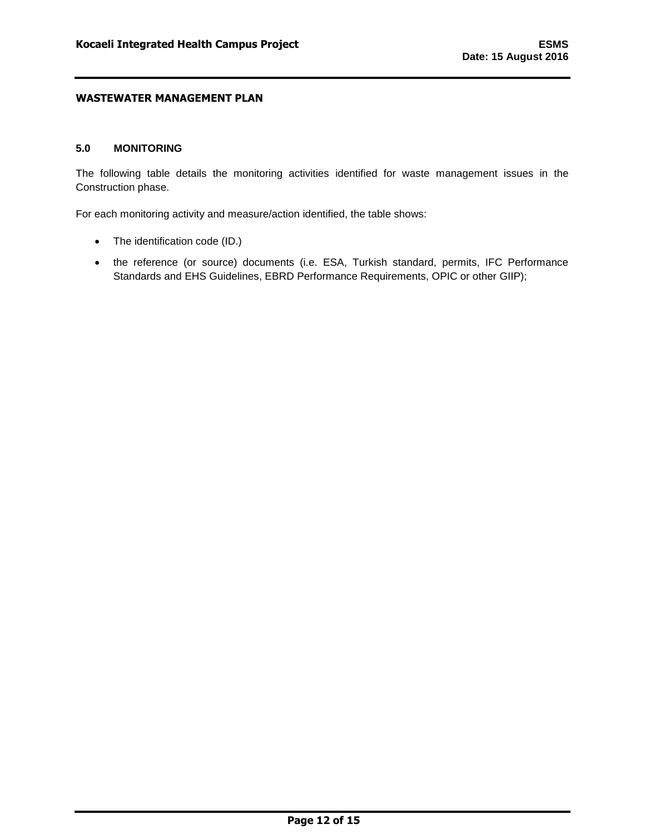### <span id="page-12-0"></span>**5.0 MONITORING**

The following table details the monitoring activities identified for waste management issues in the Construction phase.

For each monitoring activity and measure/action identified, the table shows:

- The identification code (ID.)
- the reference (or source) documents (i.e. ESA, Turkish standard, permits, IFC Performance Standards and EHS Guidelines, EBRD Performance Requirements, OPIC or other GIIP);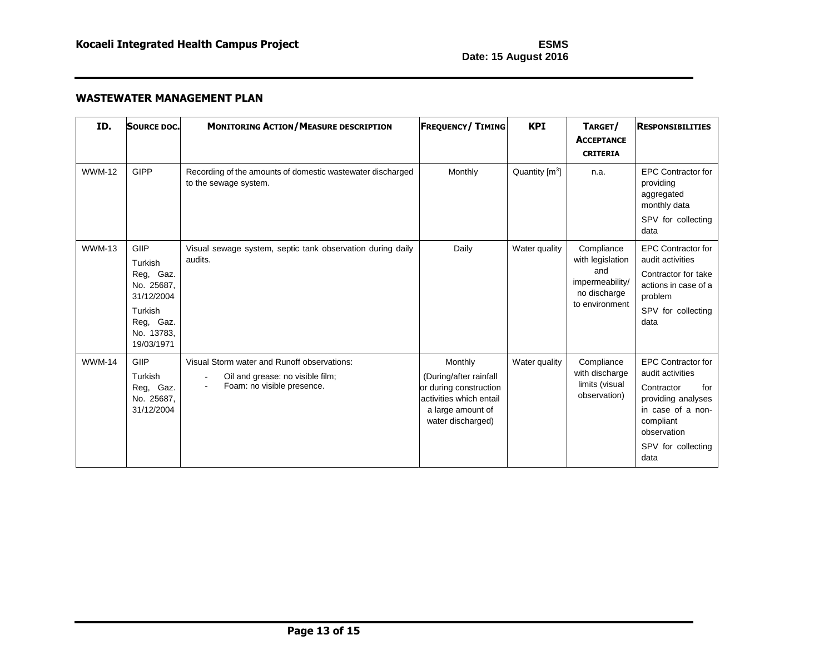| ID.           | <b>SOURCE DOC.</b>                                                                                           | <b>MONITORING ACTION/MEASURE DESCRIPTION</b>                                                                  | <b>FREQUENCY/TIMING</b>                                                                                                          | <b>KPI</b>       | TARGET/<br><b>ACCEPTANCE</b><br><b>CRITERIA</b>                                            | <b>RESPONSIBILITIES</b>                                                                                                                                                 |
|---------------|--------------------------------------------------------------------------------------------------------------|---------------------------------------------------------------------------------------------------------------|----------------------------------------------------------------------------------------------------------------------------------|------------------|--------------------------------------------------------------------------------------------|-------------------------------------------------------------------------------------------------------------------------------------------------------------------------|
| <b>WWM-12</b> | <b>GIPP</b>                                                                                                  | Recording of the amounts of domestic wastewater discharged<br>to the sewage system.                           | Monthly                                                                                                                          | Quantity $[m^3]$ | n.a.                                                                                       | <b>EPC Contractor for</b><br>providing<br>aggregated<br>monthly data<br>SPV for collecting<br>data                                                                      |
| <b>WWM-13</b> | GIIP<br>Turkish<br>Reg, Gaz.<br>No. 25687.<br>31/12/2004<br>Turkish<br>Reg, Gaz.<br>No. 13783.<br>19/03/1971 | Visual sewage system, septic tank observation during daily<br>audits.                                         | Daily                                                                                                                            | Water quality    | Compliance<br>with legislation<br>and<br>impermeability/<br>no discharge<br>to environment | <b>EPC Contractor for</b><br>audit activities<br>Contractor for take<br>actions in case of a<br>problem<br>SPV for collecting<br>data                                   |
| <b>WWM-14</b> | GIIP<br>Turkish<br>Reg, Gaz.<br>No. 25687.<br>31/12/2004                                                     | Visual Storm water and Runoff observations:<br>Oil and grease: no visible film;<br>Foam: no visible presence. | Monthly<br>(During/after rainfall<br>or during construction<br>activities which entail<br>a large amount of<br>water discharged) | Water quality    | Compliance<br>with discharge<br>limits (visual<br>observation)                             | <b>EPC Contractor for</b><br>audit activities<br>Contractor<br>for<br>providing analyses<br>in case of a non-<br>compliant<br>observation<br>SPV for collecting<br>data |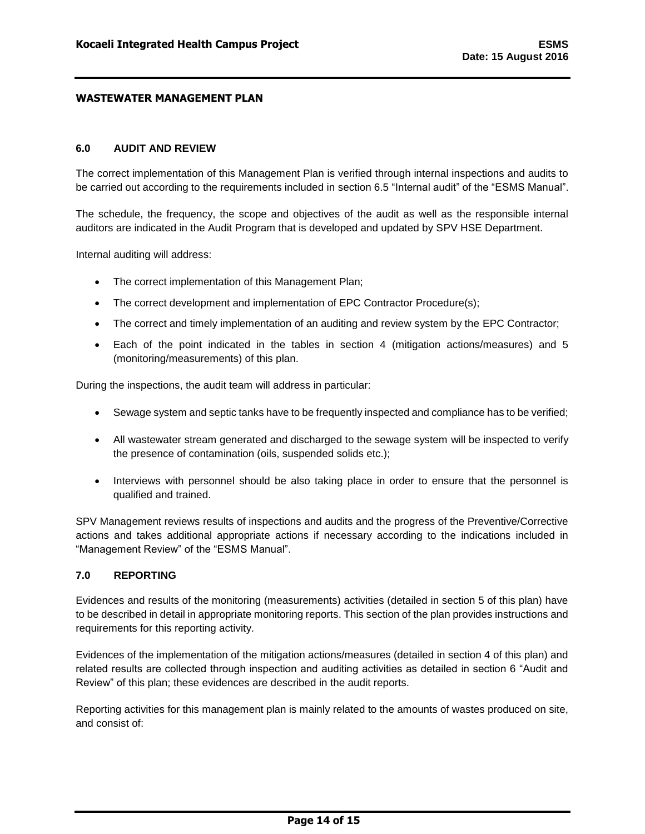# <span id="page-14-0"></span>**6.0 AUDIT AND REVIEW**

The correct implementation of this Management Plan is verified through internal inspections and audits to be carried out according to the requirements included in section 6.5 "Internal audit" of the "ESMS Manual".

The schedule, the frequency, the scope and objectives of the audit as well as the responsible internal auditors are indicated in the Audit Program that is developed and updated by SPV HSE Department.

Internal auditing will address:

- The correct implementation of this Management Plan;
- The correct development and implementation of EPC Contractor Procedure(s);
- The correct and timely implementation of an auditing and review system by the EPC Contractor;
- Each of the point indicated in the tables in section 4 (mitigation actions/measures) and 5 (monitoring/measurements) of this plan.

During the inspections, the audit team will address in particular:

- Sewage system and septic tanks have to be frequently inspected and compliance has to be verified;
- All wastewater stream generated and discharged to the sewage system will be inspected to verify the presence of contamination (oils, suspended solids etc.);
- Interviews with personnel should be also taking place in order to ensure that the personnel is qualified and trained.

SPV Management reviews results of inspections and audits and the progress of the Preventive/Corrective actions and takes additional appropriate actions if necessary according to the indications included in "Management Review" of the "ESMS Manual".

#### <span id="page-14-1"></span>**7.0 REPORTING**

Evidences and results of the monitoring (measurements) activities (detailed in section 5 of this plan) have to be described in detail in appropriate monitoring reports. This section of the plan provides instructions and requirements for this reporting activity.

Evidences of the implementation of the mitigation actions/measures (detailed in section 4 of this plan) and related results are collected through inspection and auditing activities as detailed in section 6 "Audit and Review" of this plan; these evidences are described in the audit reports.

Reporting activities for this management plan is mainly related to the amounts of wastes produced on site, and consist of: